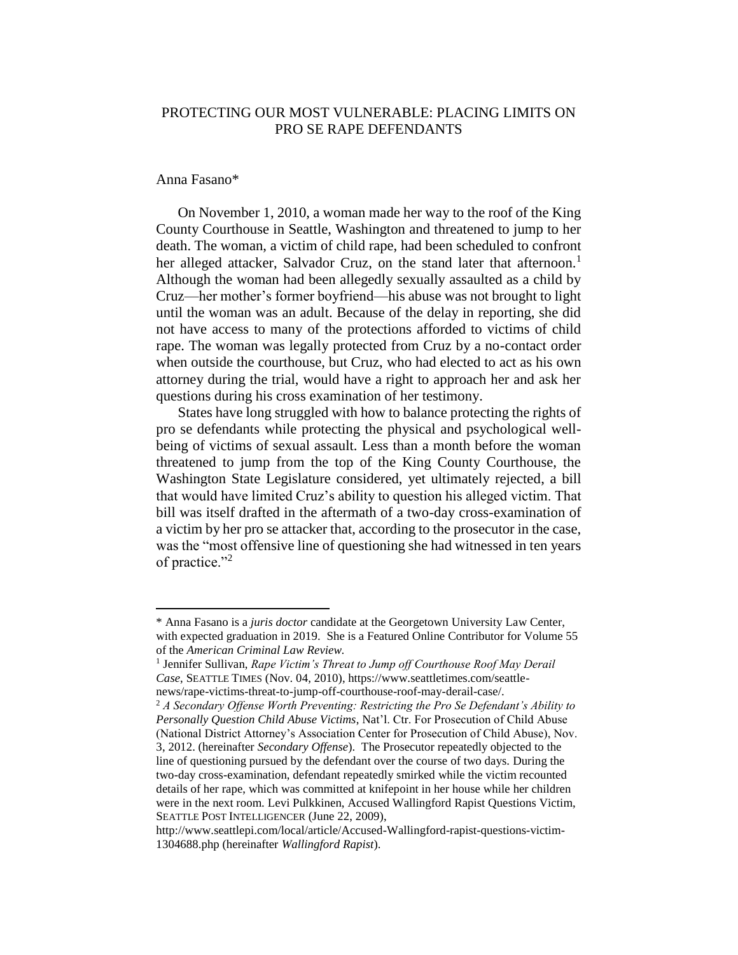## PROTECTING OUR MOST VULNERABLE: PLACING LIMITS ON PRO SE RAPE DEFENDANTS

## Anna Fasano\*

 $\overline{a}$ 

On November 1, 2010, a woman made her way to the roof of the King County Courthouse in Seattle, Washington and threatened to jump to her death. The woman, a victim of child rape, had been scheduled to confront her alleged attacker, Salvador Cruz, on the stand later that afternoon.<sup>1</sup> Although the woman had been allegedly sexually assaulted as a child by Cruz—her mother's former boyfriend—his abuse was not brought to light until the woman was an adult. Because of the delay in reporting, she did not have access to many of the protections afforded to victims of child rape. The woman was legally protected from Cruz by a no-contact order when outside the courthouse, but Cruz, who had elected to act as his own attorney during the trial, would have a right to approach her and ask her questions during his cross examination of her testimony.

States have long struggled with how to balance protecting the rights of pro se defendants while protecting the physical and psychological wellbeing of victims of sexual assault. Less than a month before the woman threatened to jump from the top of the King County Courthouse, the Washington State Legislature considered, yet ultimately rejected, a bill that would have limited Cruz's ability to question his alleged victim. That bill was itself drafted in the aftermath of a two-day cross-examination of a victim by her pro se attacker that, according to the prosecutor in the case, was the "most offensive line of questioning she had witnessed in ten years of practice." $2$ 

<sup>\*</sup> Anna Fasano is a *juris doctor* candidate at the Georgetown University Law Center, with expected graduation in 2019. She is a Featured Online Contributor for Volume 55 of the *American Criminal Law Review.*

<sup>&</sup>lt;sup>1</sup> Jennifer Sullivan, *Rape Victim's Threat to Jump off Courthouse Roof May Derail Case*, SEATTLE TIMES (Nov. 04, 2010), https://www.seattletimes.com/seattlenews/rape-victims-threat-to-jump-off-courthouse-roof-may-derail-case/.

<sup>2</sup> *A Secondary Offense Worth Preventing: Restricting the Pro Se Defendant's Ability to Personally Question Child Abuse Victims*, Nat'l. Ctr. For Prosecution of Child Abuse (National District Attorney's Association Center for Prosecution of Child Abuse), Nov. 3, 2012. (hereinafter *Secondary Offense*). The Prosecutor repeatedly objected to the line of questioning pursued by the defendant over the course of two days. During the two-day cross-examination, defendant repeatedly smirked while the victim recounted details of her rape, which was committed at knifepoint in her house while her children were in the next room. Levi Pulkkinen, Accused Wallingford Rapist Questions Victim, SEATTLE POST INTELLIGENCER (June 22, 2009),

http://www.seattlepi.com/local/article/Accused-Wallingford-rapist-questions-victim-1304688.php (hereinafter *Wallingford Rapist*).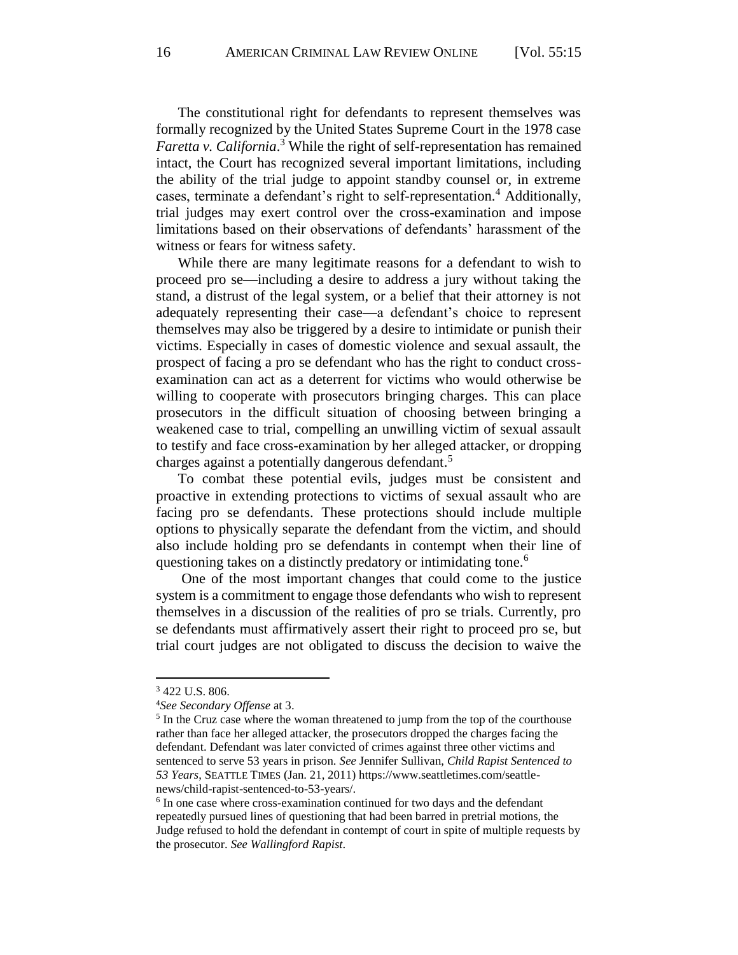The constitutional right for defendants to represent themselves was formally recognized by the United States Supreme Court in the 1978 case *Faretta v. California*. <sup>3</sup> While the right of self-representation has remained intact, the Court has recognized several important limitations, including the ability of the trial judge to appoint standby counsel or, in extreme cases, terminate a defendant's right to self-representation.<sup>4</sup> Additionally, trial judges may exert control over the cross-examination and impose limitations based on their observations of defendants' harassment of the witness or fears for witness safety.

While there are many legitimate reasons for a defendant to wish to proceed pro se—including a desire to address a jury without taking the stand, a distrust of the legal system, or a belief that their attorney is not adequately representing their case—a defendant's choice to represent themselves may also be triggered by a desire to intimidate or punish their victims. Especially in cases of domestic violence and sexual assault, the prospect of facing a pro se defendant who has the right to conduct crossexamination can act as a deterrent for victims who would otherwise be willing to cooperate with prosecutors bringing charges. This can place prosecutors in the difficult situation of choosing between bringing a weakened case to trial, compelling an unwilling victim of sexual assault to testify and face cross-examination by her alleged attacker, or dropping charges against a potentially dangerous defendant.<sup>5</sup>

To combat these potential evils, judges must be consistent and proactive in extending protections to victims of sexual assault who are facing pro se defendants. These protections should include multiple options to physically separate the defendant from the victim, and should also include holding pro se defendants in contempt when their line of questioning takes on a distinctly predatory or intimidating tone.<sup>6</sup>

One of the most important changes that could come to the justice system is a commitment to engage those defendants who wish to represent themselves in a discussion of the realities of pro se trials. Currently, pro se defendants must affirmatively assert their right to proceed pro se, but trial court judges are not obligated to discuss the decision to waive the

 $\ddot{\phantom{a}}$ 

<sup>3</sup> 422 U.S. 806.

<sup>4</sup>*See Secondary Offense* at 3.

<sup>&</sup>lt;sup>5</sup> In the Cruz case where the woman threatened to jump from the top of the courthouse rather than face her alleged attacker, the prosecutors dropped the charges facing the defendant. Defendant was later convicted of crimes against three other victims and sentenced to serve 53 years in prison. *See* Jennifer Sullivan, *Child Rapist Sentenced to 53 Years*, SEATTLE TIMES (Jan. 21, 2011) https://www.seattletimes.com/seattlenews/child-rapist-sentenced-to-53-years/.

<sup>&</sup>lt;sup>6</sup> In one case where cross-examination continued for two days and the defendant repeatedly pursued lines of questioning that had been barred in pretrial motions, the Judge refused to hold the defendant in contempt of court in spite of multiple requests by the prosecutor. *See Wallingford Rapist*.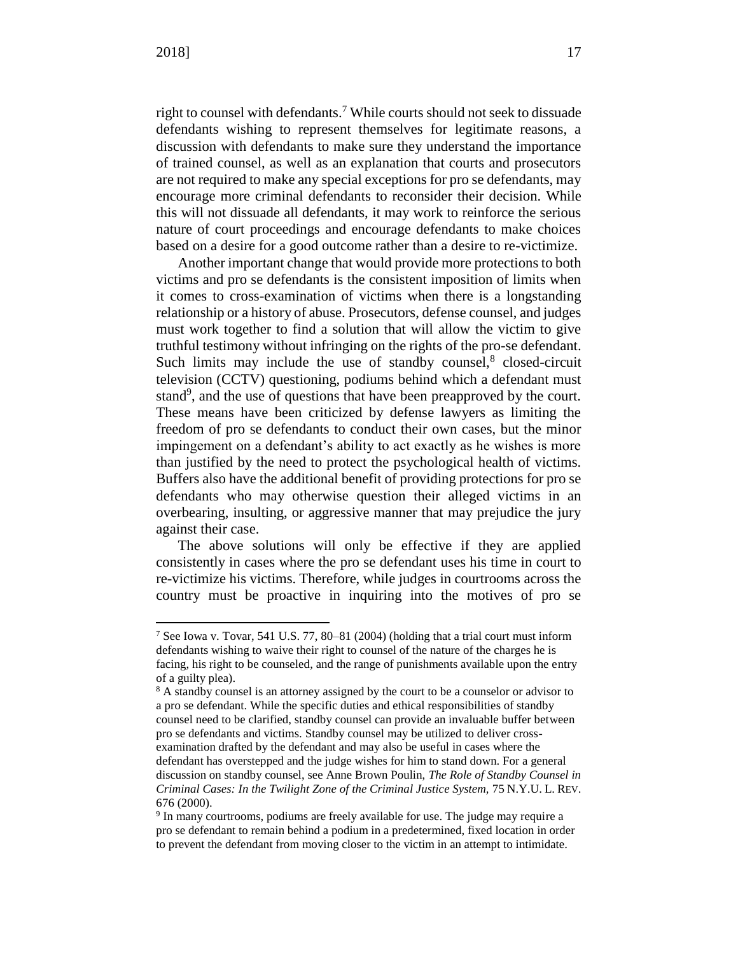$\overline{a}$ 

right to counsel with defendants.<sup>7</sup> While courts should not seek to dissuade defendants wishing to represent themselves for legitimate reasons, a discussion with defendants to make sure they understand the importance of trained counsel, as well as an explanation that courts and prosecutors are not required to make any special exceptions for pro se defendants, may encourage more criminal defendants to reconsider their decision. While this will not dissuade all defendants, it may work to reinforce the serious nature of court proceedings and encourage defendants to make choices based on a desire for a good outcome rather than a desire to re-victimize.

Another important change that would provide more protections to both victims and pro se defendants is the consistent imposition of limits when it comes to cross-examination of victims when there is a longstanding relationship or a history of abuse. Prosecutors, defense counsel, and judges must work together to find a solution that will allow the victim to give truthful testimony without infringing on the rights of the pro-se defendant. Such limits may include the use of standby counsel, $8$  closed-circuit television (CCTV) questioning, podiums behind which a defendant must stand<sup>9</sup>, and the use of questions that have been preapproved by the court. These means have been criticized by defense lawyers as limiting the freedom of pro se defendants to conduct their own cases, but the minor impingement on a defendant's ability to act exactly as he wishes is more than justified by the need to protect the psychological health of victims. Buffers also have the additional benefit of providing protections for pro se defendants who may otherwise question their alleged victims in an overbearing, insulting, or aggressive manner that may prejudice the jury against their case.

The above solutions will only be effective if they are applied consistently in cases where the pro se defendant uses his time in court to re-victimize his victims. Therefore, while judges in courtrooms across the country must be proactive in inquiring into the motives of pro se

<sup>7</sup> See Iowa v. Tovar, 541 U.S. 77, 80–81 (2004) (holding that a trial court must inform defendants wishing to waive their right to counsel of the nature of the charges he is facing, his right to be counseled, and the range of punishments available upon the entry of a guilty plea).

<sup>&</sup>lt;sup>8</sup> A standby counsel is an attorney assigned by the court to be a counselor or advisor to a pro se defendant. While the specific duties and ethical responsibilities of standby counsel need to be clarified, standby counsel can provide an invaluable buffer between pro se defendants and victims. Standby counsel may be utilized to deliver crossexamination drafted by the defendant and may also be useful in cases where the defendant has overstepped and the judge wishes for him to stand down. For a general discussion on standby counsel, see Anne Brown Poulin, *The Role of Standby Counsel in Criminal Cases: In the Twilight Zone of the Criminal Justice System,* 75 N.Y.U. L. REV. 676 (2000).

<sup>&</sup>lt;sup>9</sup> In many courtrooms, podiums are freely available for use. The judge may require a pro se defendant to remain behind a podium in a predetermined, fixed location in order to prevent the defendant from moving closer to the victim in an attempt to intimidate.